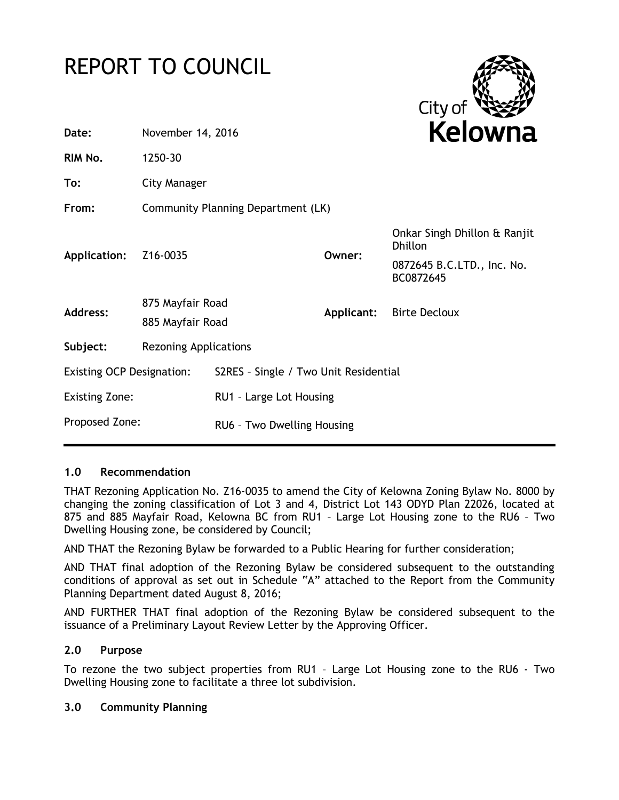# REPORT TO COUNCIL



| Date:                            | November 14, 2016                    |                                       |            | Kelowna                                        |
|----------------------------------|--------------------------------------|---------------------------------------|------------|------------------------------------------------|
| RIM No.                          | 1250-30                              |                                       |            |                                                |
| To:                              | <b>City Manager</b>                  |                                       |            |                                                |
| From:                            | Community Planning Department (LK)   |                                       |            |                                                |
| Application:                     | Z16-0035                             |                                       | Owner:     | Onkar Singh Dhillon & Ranjit<br><b>Dhillon</b> |
|                                  |                                      |                                       |            | 0872645 B.C.LTD., Inc. No.<br>BC0872645        |
| <b>Address:</b>                  | 875 Mayfair Road<br>885 Mayfair Road |                                       | Applicant: | <b>Birte Decloux</b>                           |
| Subject:                         | <b>Rezoning Applications</b>         |                                       |            |                                                |
| <b>Existing OCP Designation:</b> |                                      | S2RES - Single / Two Unit Residential |            |                                                |
| <b>Existing Zone:</b>            |                                      | RU1 - Large Lot Housing               |            |                                                |
| Proposed Zone:                   |                                      | RU6 - Two Dwelling Housing            |            |                                                |
|                                  |                                      |                                       |            |                                                |

## **1.0 Recommendation**

THAT Rezoning Application No. Z16-0035 to amend the City of Kelowna Zoning Bylaw No. 8000 by changing the zoning classification of Lot 3 and 4, District Lot 143 ODYD Plan 22026, located at 875 and 885 Mayfair Road, Kelowna BC from RU1 – Large Lot Housing zone to the RU6 – Two Dwelling Housing zone, be considered by Council;

AND THAT the Rezoning Bylaw be forwarded to a Public Hearing for further consideration;

AND THAT final adoption of the Rezoning Bylaw be considered subsequent to the outstanding conditions of approval as set out in Schedule "A" attached to the Report from the Community Planning Department dated August 8, 2016;

AND FURTHER THAT final adoption of the Rezoning Bylaw be considered subsequent to the issuance of a Preliminary Layout Review Letter by the Approving Officer.

## **2.0 Purpose**

To rezone the two subject properties from RU1 – Large Lot Housing zone to the RU6 - Two Dwelling Housing zone to facilitate a three lot subdivision.

## **3.0 Community Planning**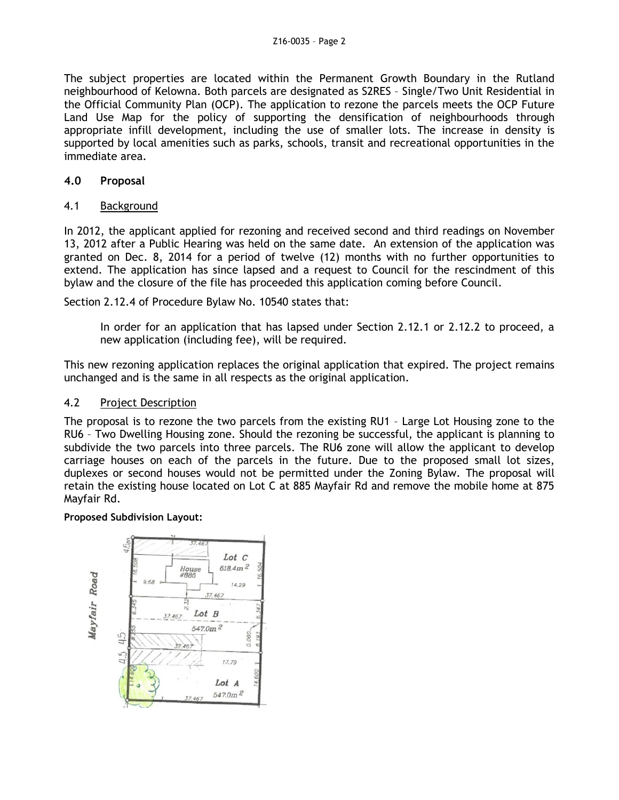The subject properties are located within the Permanent Growth Boundary in the Rutland neighbourhood of Kelowna. Both parcels are designated as S2RES – Single/Two Unit Residential in the Official Community Plan (OCP). The application to rezone the parcels meets the OCP Future Land Use Map for the policy of supporting the densification of neighbourhoods through appropriate infill development, including the use of smaller lots. The increase in density is supported by local amenities such as parks, schools, transit and recreational opportunities in the immediate area.

## **4.0 Proposal**

## 4.1 Background

In 2012, the applicant applied for rezoning and received second and third readings on November 13, 2012 after a Public Hearing was held on the same date. An extension of the application was granted on Dec. 8, 2014 for a period of twelve (12) months with no further opportunities to extend. The application has since lapsed and a request to Council for the rescindment of this bylaw and the closure of the file has proceeded this application coming before Council.

Section 2.12.4 of Procedure Bylaw No. 10540 states that:

In order for an application that has lapsed under Section 2.12.1 or 2.12.2 to proceed, a new application (including fee), will be required.

This new rezoning application replaces the original application that expired. The project remains unchanged and is the same in all respects as the original application.

#### 4.2 Project Description

The proposal is to rezone the two parcels from the existing RU1 – Large Lot Housing zone to the RU6 – Two Dwelling Housing zone. Should the rezoning be successful, the applicant is planning to subdivide the two parcels into three parcels. The RU6 zone will allow the applicant to develop carriage houses on each of the parcels in the future. Due to the proposed small lot sizes, duplexes or second houses would not be permitted under the Zoning Bylaw. The proposal will retain the existing house located on Lot C at 885 Mayfair Rd and remove the mobile home at 875 Mayfair Rd.

#### **Proposed Subdivision Layout:**

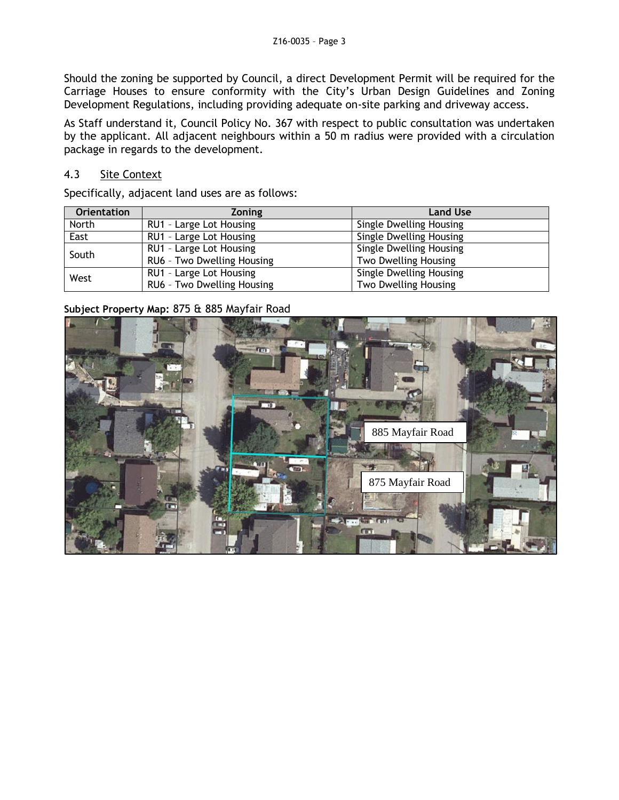Should the zoning be supported by Council, a direct Development Permit will be required for the Carriage Houses to ensure conformity with the City's Urban Design Guidelines and Zoning Development Regulations, including providing adequate on-site parking and driveway access.

As Staff understand it, Council Policy No. 367 with respect to public consultation was undertaken by the applicant. All adjacent neighbours within a 50 m radius were provided with a circulation package in regards to the development.

## 4.3 Site Context

Specifically, adjacent land uses are as follows:

| <b>Orientation</b> | <b>Zoning</b>              | <b>Land Use</b>                |
|--------------------|----------------------------|--------------------------------|
| North              | RU1 - Large Lot Housing    | <b>Single Dwelling Housing</b> |
| East               | RU1 - Large Lot Housing    | <b>Single Dwelling Housing</b> |
| South              | RU1 - Large Lot Housing    | <b>Single Dwelling Housing</b> |
|                    | RU6 - Two Dwelling Housing | Two Dwelling Housing           |
| West               | RU1 - Large Lot Housing    | <b>Single Dwelling Housing</b> |
|                    | RU6 - Two Dwelling Housing | Two Dwelling Housing           |

## **Subject Property Map:** 875 & 885 Mayfair Road

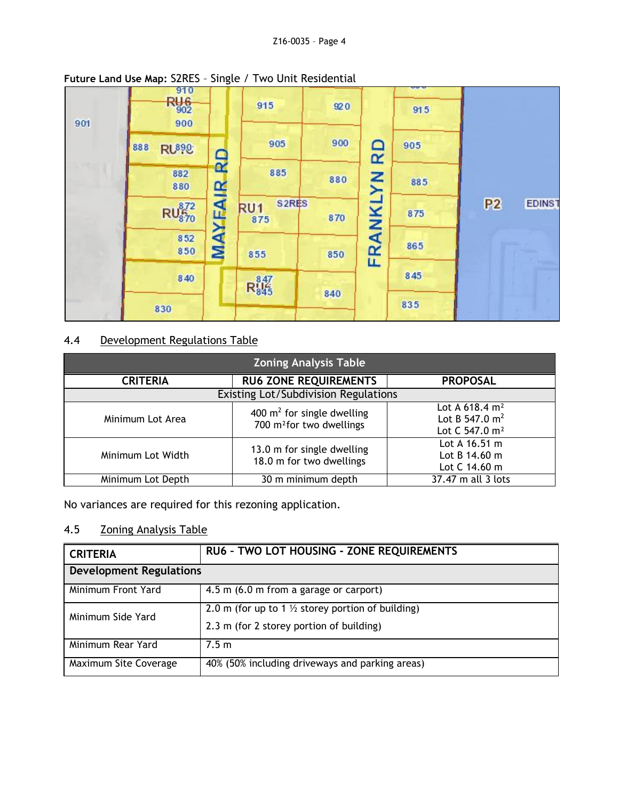| 901 | 910<br>Rue<br><sub>902</sub><br>900 | $\tilde{\phantom{a}}$ | 915                                          | 920 |        | 915 |                                 |
|-----|-------------------------------------|-----------------------|----------------------------------------------|-----|--------|-----|---------------------------------|
|     | 888<br><b>RU890</b>                 | $\mathbf{Q}$          | 905                                          | 900 | ◠<br>œ | 905 |                                 |
|     | 882<br>880                          | œ                     | 885                                          | 880 | Σk     | 885 |                                 |
|     | $RU_{870}^{872}$                    | MAYFA                 | S <sub>2</sub> RES<br>RU <sub>1</sub><br>875 | 870 |        | 875 | P <sub>2</sub><br><b>EDINST</b> |
|     | 852<br>850                          |                       | 855                                          | 850 | FRANKI | 865 |                                 |
|     | 840                                 |                       | $R_{845}^{847}$                              | 840 |        | 845 |                                 |
|     | 830                                 |                       |                                              |     |        | 835 |                                 |

## **Future Land Use Map:** S2RES – Single / Two Unit Residential

# 4.4 Development Regulations Table

| <b>Zoning Analysis Table</b>         |                                                                       |                                                                               |  |  |
|--------------------------------------|-----------------------------------------------------------------------|-------------------------------------------------------------------------------|--|--|
| <b>CRITERIA</b>                      | <b>RU6 ZONE REQUIREMENTS</b>                                          | <b>PROPOSAL</b>                                                               |  |  |
| Existing Lot/Subdivision Regulations |                                                                       |                                                                               |  |  |
| Minimum Lot Area                     | 400 $m^2$ for single dwelling<br>700 m <sup>2</sup> for two dwellings | Lot A 618.4 m <sup>2</sup><br>Lot B 547.0 $m^2$<br>Lot C 547.0 m <sup>2</sup> |  |  |
| Minimum Lot Width                    | 13.0 m for single dwelling<br>18.0 m for two dwellings                | Lot A $16.51$ m<br>Lot B 14.60 m<br>Lot C 14.60 m                             |  |  |
| Minimum Lot Depth                    | 30 m minimum depth                                                    | 37.47 m all 3 lots                                                            |  |  |

No variances are required for this rezoning application.

# 4.5 Zoning Analysis Table

| <b>CRITERIA</b>                | RU6 - TWO LOT HOUSING - ZONE REQUIREMENTS                                                                |  |
|--------------------------------|----------------------------------------------------------------------------------------------------------|--|
| <b>Development Regulations</b> |                                                                                                          |  |
| Minimum Front Yard             | 4.5 m (6.0 m from a garage or carport)                                                                   |  |
| Minimum Side Yard              | 2.0 m (for up to 1 $\frac{1}{2}$ storey portion of building)<br>2.3 m (for 2 storey portion of building) |  |
| Minimum Rear Yard              | 7.5 m                                                                                                    |  |
| Maximum Site Coverage          | 40% (50% including driveways and parking areas)                                                          |  |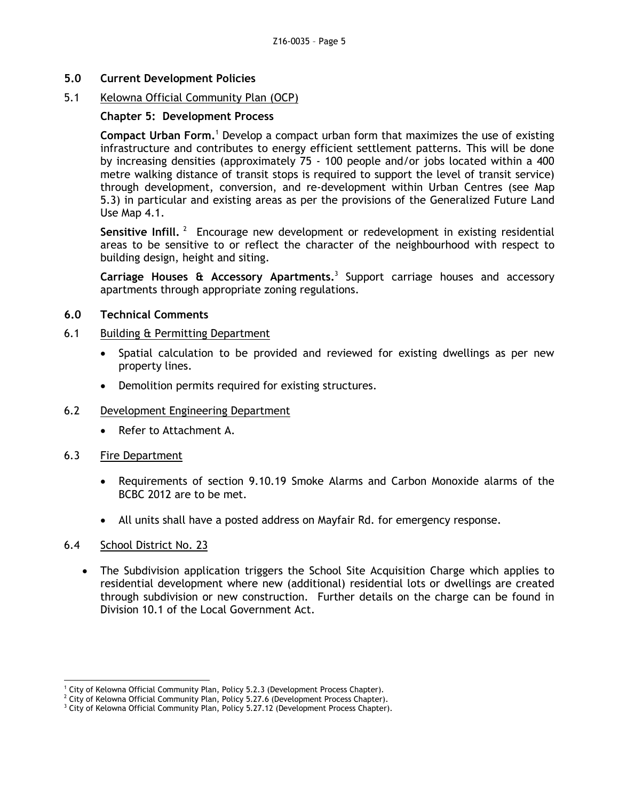**5.0 Current Development Policies**

## 5.1 Kelowna Official Community Plan (OCP)

## **Chapter 5: Development Process**

**Compact Urban Form.**<sup>1</sup> Develop a compact urban form that maximizes the use of existing infrastructure and contributes to energy efficient settlement patterns. This will be done by increasing densities (approximately 75 - 100 people and/or jobs located within a 400 metre walking distance of transit stops is required to support the level of transit service) through development, conversion, and re-development within Urban Centres (see Map 5.3) in particular and existing areas as per the provisions of the Generalized Future Land Use Map 4.1.

Sensitive Infill.<sup>2</sup> Encourage new development or redevelopment in existing residential areas to be sensitive to or reflect the character of the neighbourhood with respect to building design, height and siting.

**Carriage Houses & Accessory Apartments.** 3 Support carriage houses and accessory apartments through appropriate zoning regulations.

## **6.0 Technical Comments**

## 6.1 Building & Permitting Department

- Spatial calculation to be provided and reviewed for existing dwellings as per new property lines.
- Demolition permits required for existing structures.
- 6.2 Development Engineering Department
	- Refer to Attachment A.
- 6.3 Fire Department
	- Requirements of section 9.10.19 Smoke Alarms and Carbon Monoxide alarms of the BCBC 2012 are to be met.
	- All units shall have a posted address on Mayfair Rd. for emergency response.

## 6.4 School District No. 23

-

 The Subdivision application triggers the School Site Acquisition Charge which applies to residential development where new (additional) residential lots or dwellings are created through subdivision or new construction. Further details on the charge can be found in Division 10.1 of the Local Government Act.

<sup>&</sup>lt;sup>1</sup> City of Kelowna Official Community Plan, Policy 5.2.3 (Development Process Chapter).

 $\frac{2}{3}$  City of Kelowna Official Community Plan, Policy 5.27.6 (Development Process Chapter).

<sup>&</sup>lt;sup>3</sup> City of Kelowna Official Community Plan, Policy 5.27.12 (Development Process Chapter).